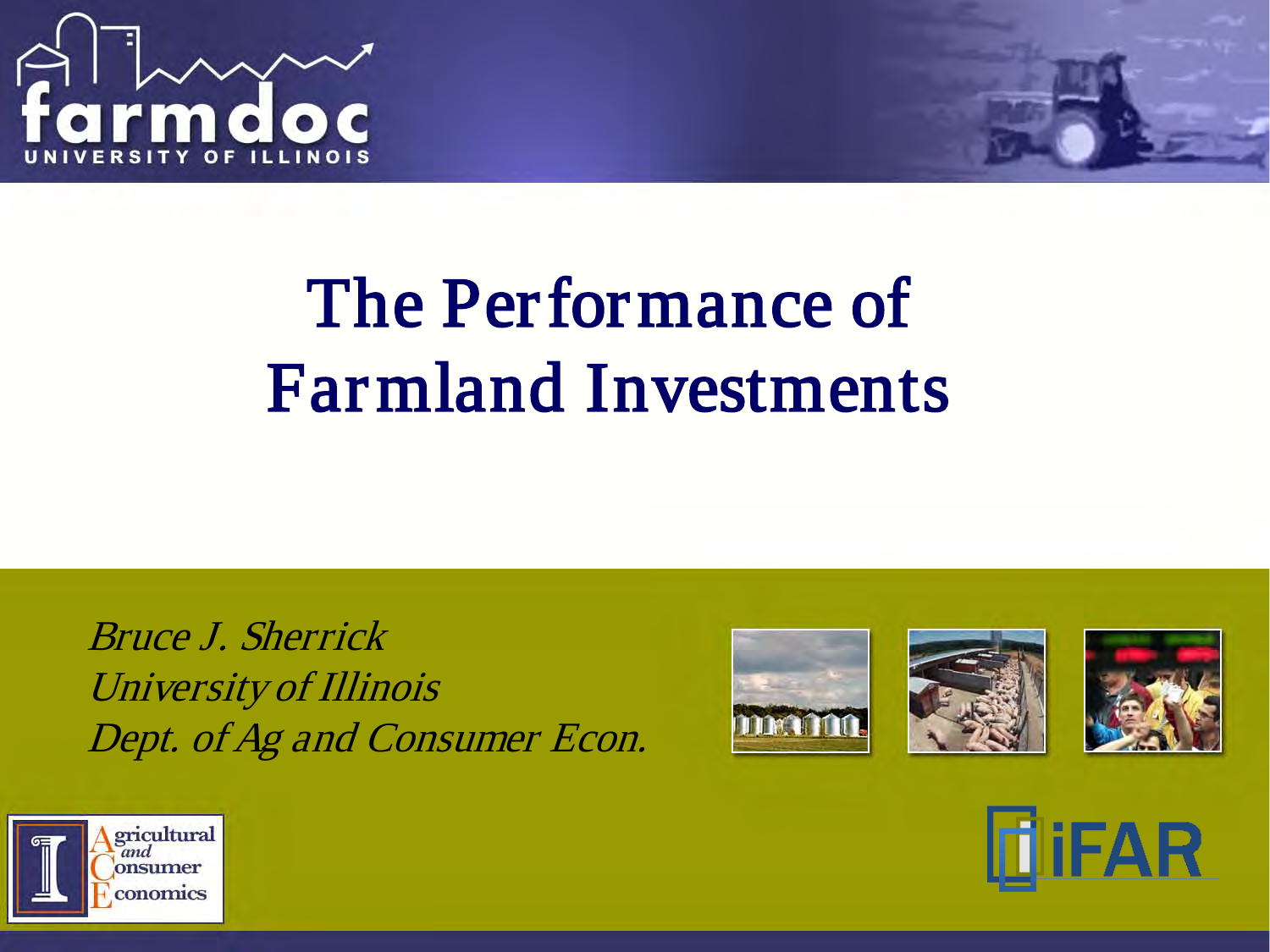

## The Performance of Farmland Investments

Bruce J. Sherrick University of Illinois Dept. of Ag and Consumer Econ.









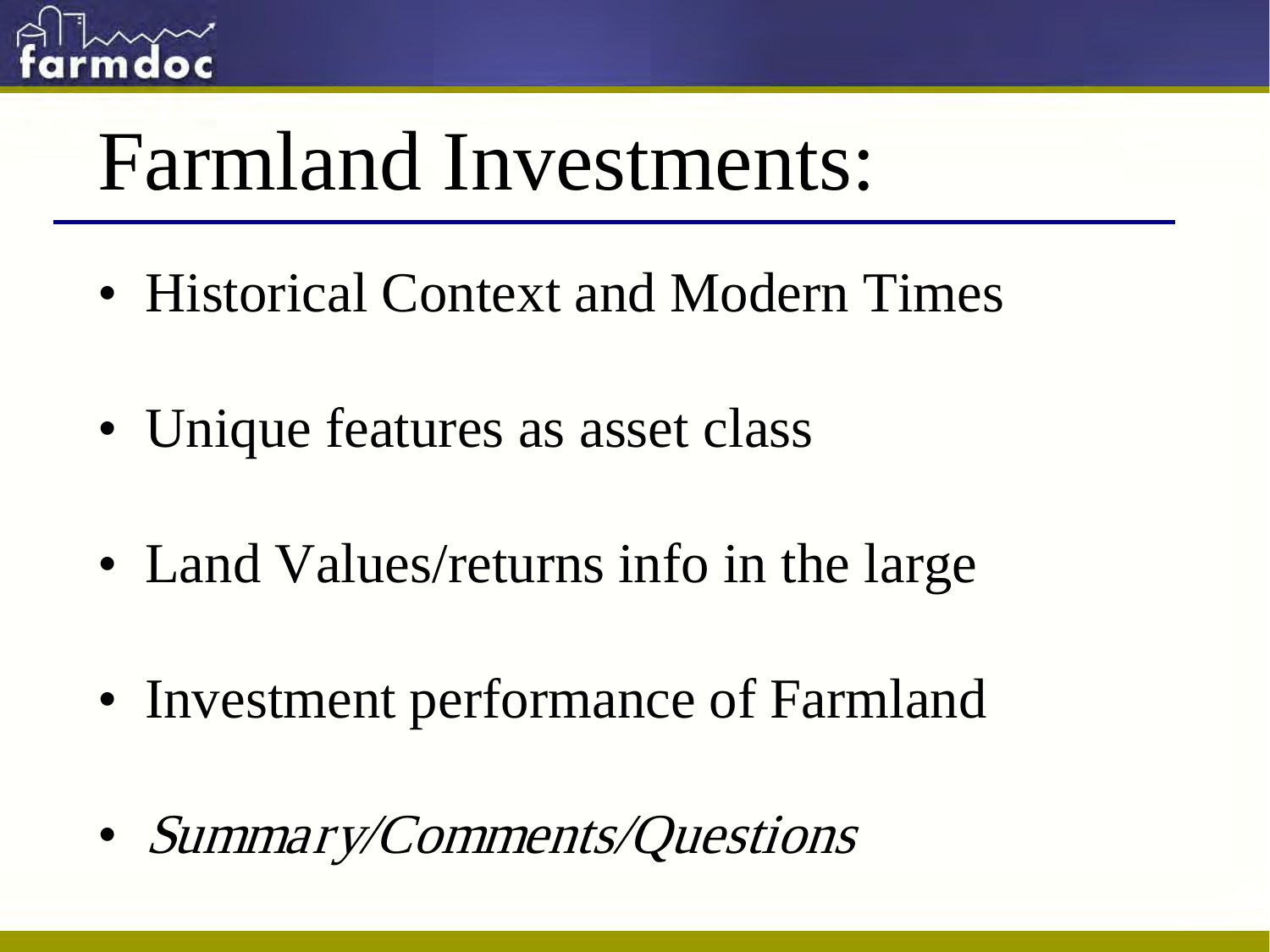

# Farmland Investments:

- Historical Context and Modern Times
- Unique features as asset class
- Land Values/returns info in the large
- Investment performance of Farmland
- Summary/Comments/Questions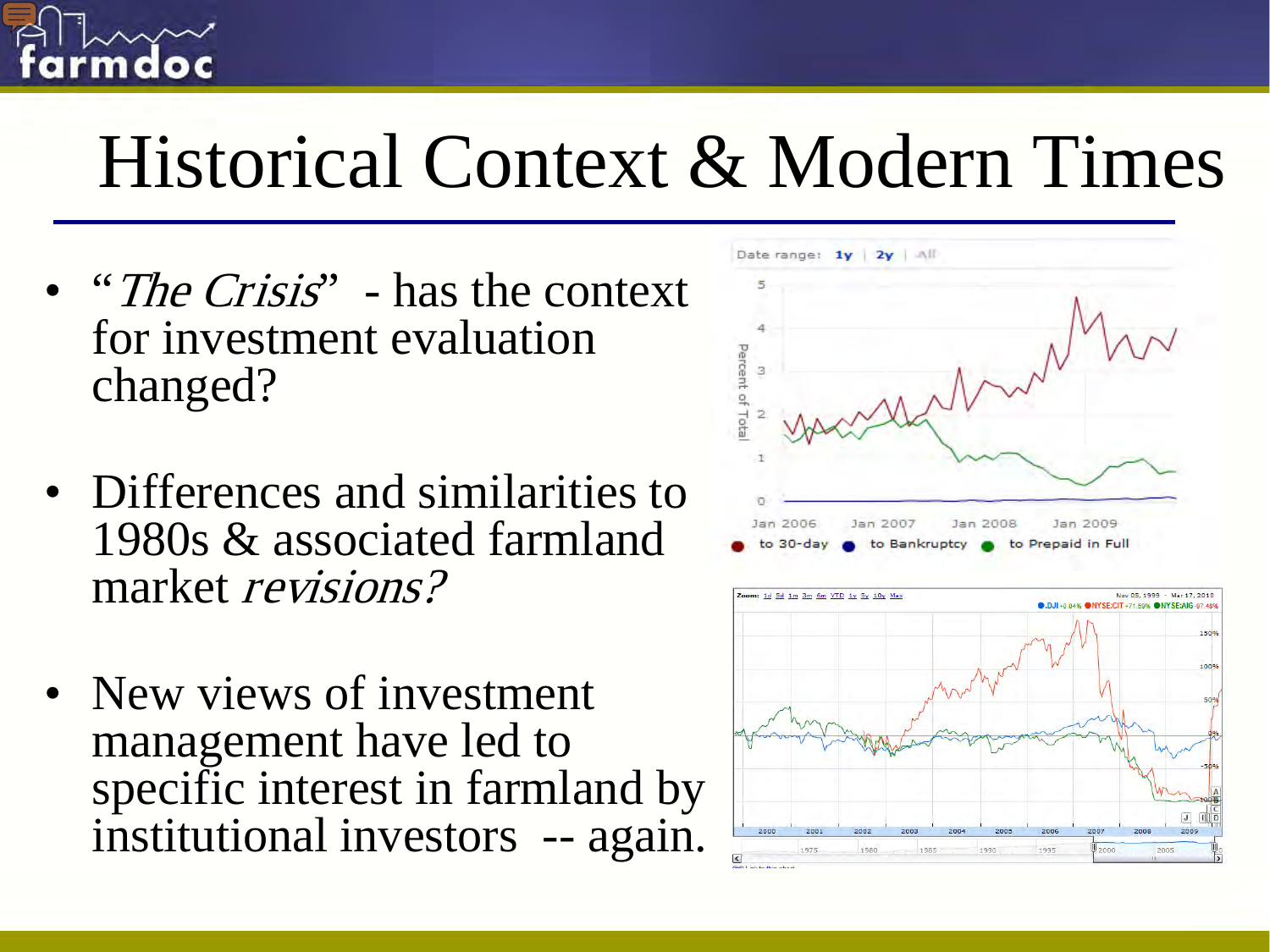

# Historical Context & Modern Times

- "The Crisis" has the context for investment evaluation changed?
- Differences and similarities to 1980s & associated farmland market revisions?
- New views of investment management have led to specific interest in farmland by institutional investors -- again.



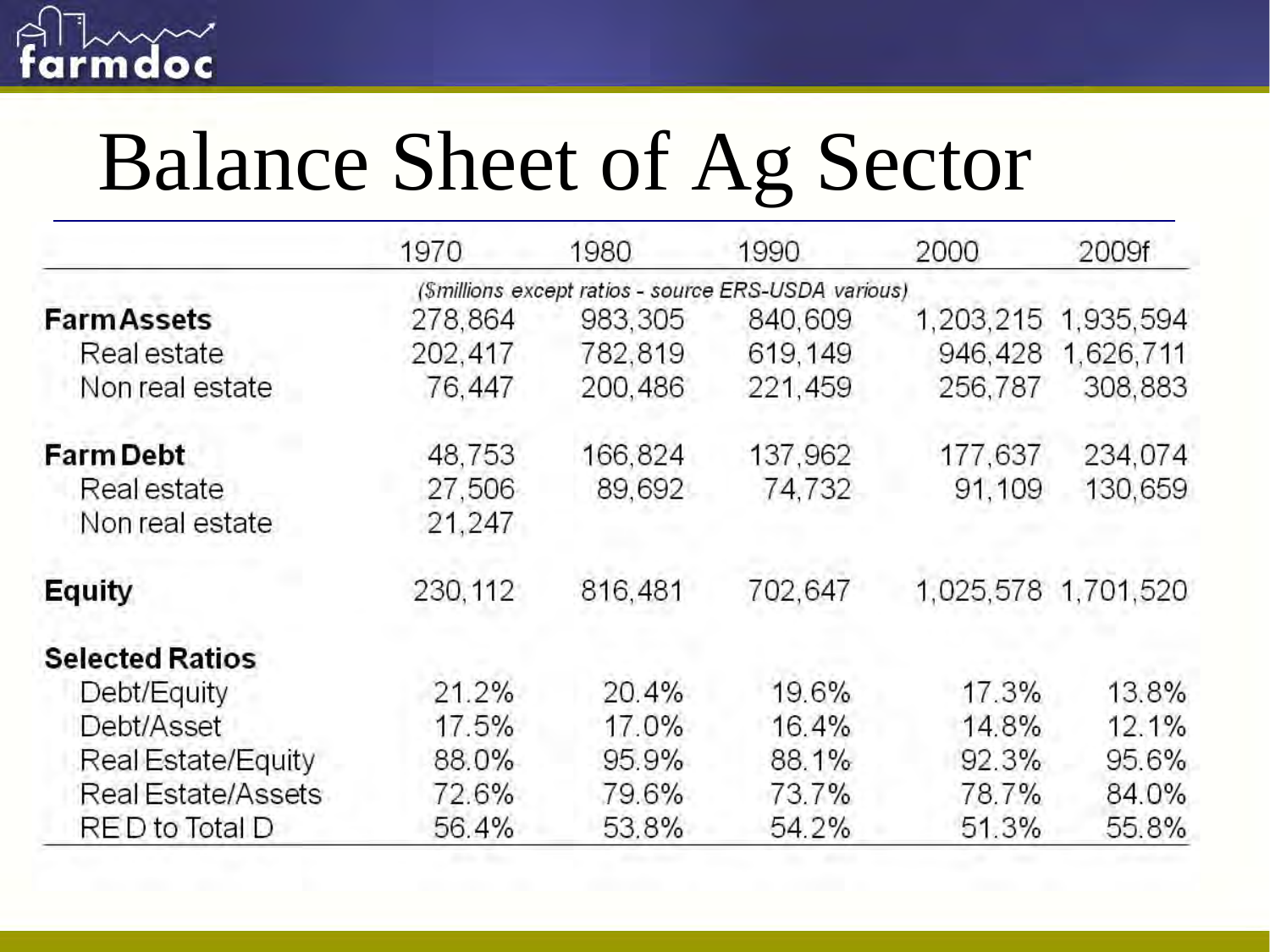

# Balance Sheet of Ag Sector

|                           | 1970                                                | 1980    | 1990    | 2000      | 2009f               |  |  |  |  |
|---------------------------|-----------------------------------------------------|---------|---------|-----------|---------------------|--|--|--|--|
|                           | (Smillions except ratios - source ERS-USDA various) |         |         |           |                     |  |  |  |  |
| <b>FarmAssets</b>         | 278,864                                             | 983,305 | 840,609 | 1,203,215 | 1.935,594           |  |  |  |  |
| Real estate               | 202,417                                             | 782,819 | 619,149 | 946,428   | 1,626,711           |  |  |  |  |
| Non real estate           | 76,447                                              | 200,486 | 221,459 | 256,787   | 308,883             |  |  |  |  |
| <b>Farm Debt</b>          | 48,753                                              | 166,824 | 137,962 | 177,637   | 234,074             |  |  |  |  |
| Real estate               | 27,506                                              | 89,692  | 74,732  | 91,109    | 130,659             |  |  |  |  |
| Non real estate           | 21,247                                              |         |         |           |                     |  |  |  |  |
| Equity                    | 230, 112                                            | 816,481 | 702,647 |           | 1,025,578 1,701,520 |  |  |  |  |
| <b>Selected Ratios</b>    |                                                     |         |         |           |                     |  |  |  |  |
| Debt/Equity               | 21.2%                                               | 20.4%   | 19.6%   | 17.3%     | 13.8%               |  |  |  |  |
| Debt/Asset                | 17.5%                                               | 17.0%   | 16.4%   | 14.8%     | 12.1%               |  |  |  |  |
| Real Estate/Equity        | 88.0%                                               | 95.9%   | 88.1%   | 92.3%     | 95.6%               |  |  |  |  |
| <b>Real Estate/Assets</b> | 72.6%                                               | 79.6%   | 73.7%   | 78.7%     | 84.0%               |  |  |  |  |
| RED to Total D            | 56.4%                                               | 53.8%   | 54.2%   | 51.3%     | 55.8%               |  |  |  |  |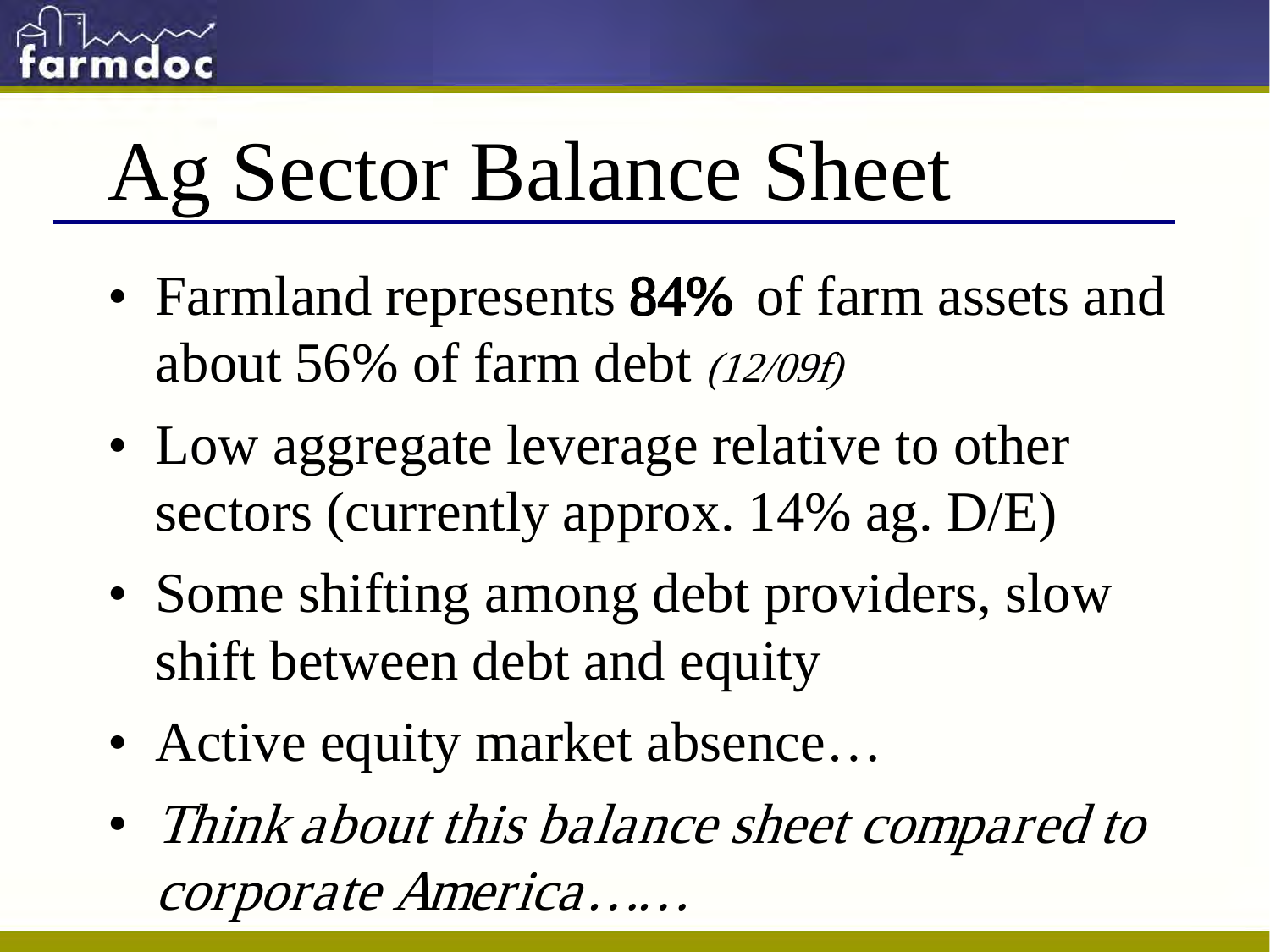

# Ag Sector Balance Sheet

- Farmland represents 84% of farm assets and about 56% of farm debt (12/09f)
- Low aggregate leverage relative to other sectors (currently approx. 14% ag. D/E)
- Some shifting among debt providers, slow shift between debt and equity
- Active equity market absence...
- Think about this balance sheet compared to corporate America……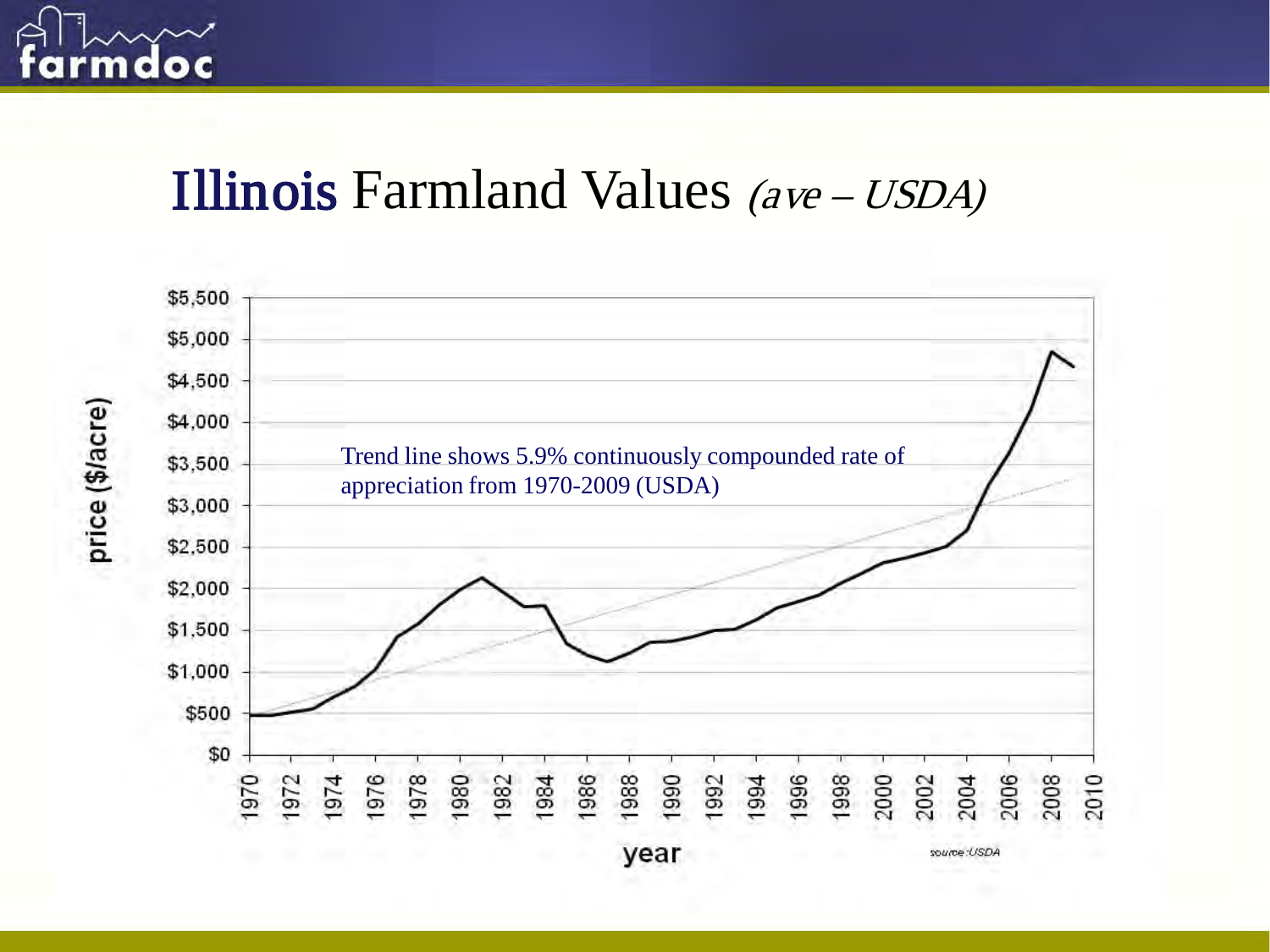

price (\$/acre)

#### Illinois Farmland Values (ave – USDA)



year

source:USDA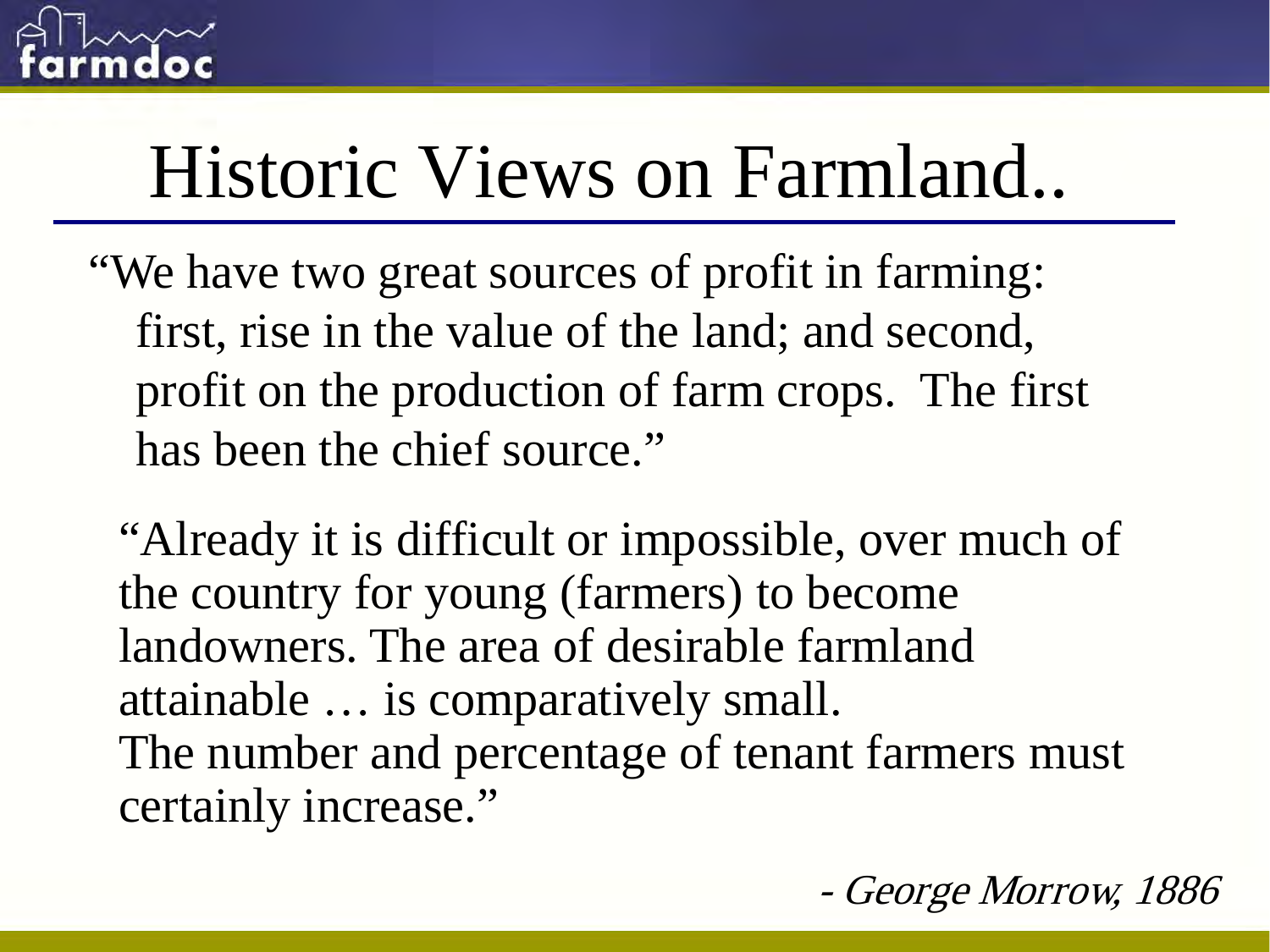

# Historic Views on Farmland..

"We have two great sources of profit in farming: first, rise in the value of the land; and second, profit on the production of farm crops. The first has been the chief source."

"Already it is difficult or impossible, over much of the country for young (farmers) to become landowners. The area of desirable farmland attainable … is comparatively small. The number and percentage of tenant farmers must certainly increase."

George Morrow, 1886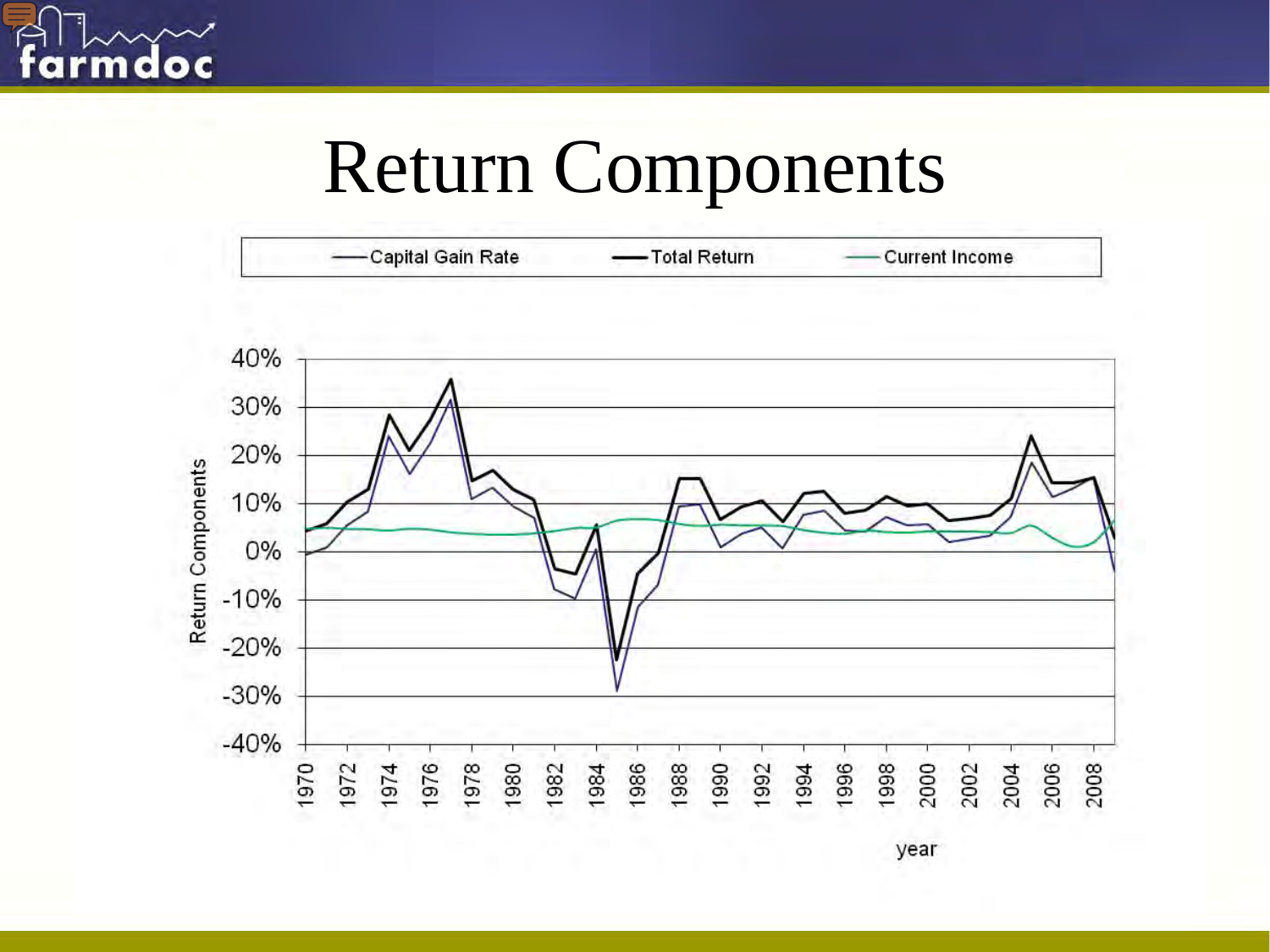

## Return Components



year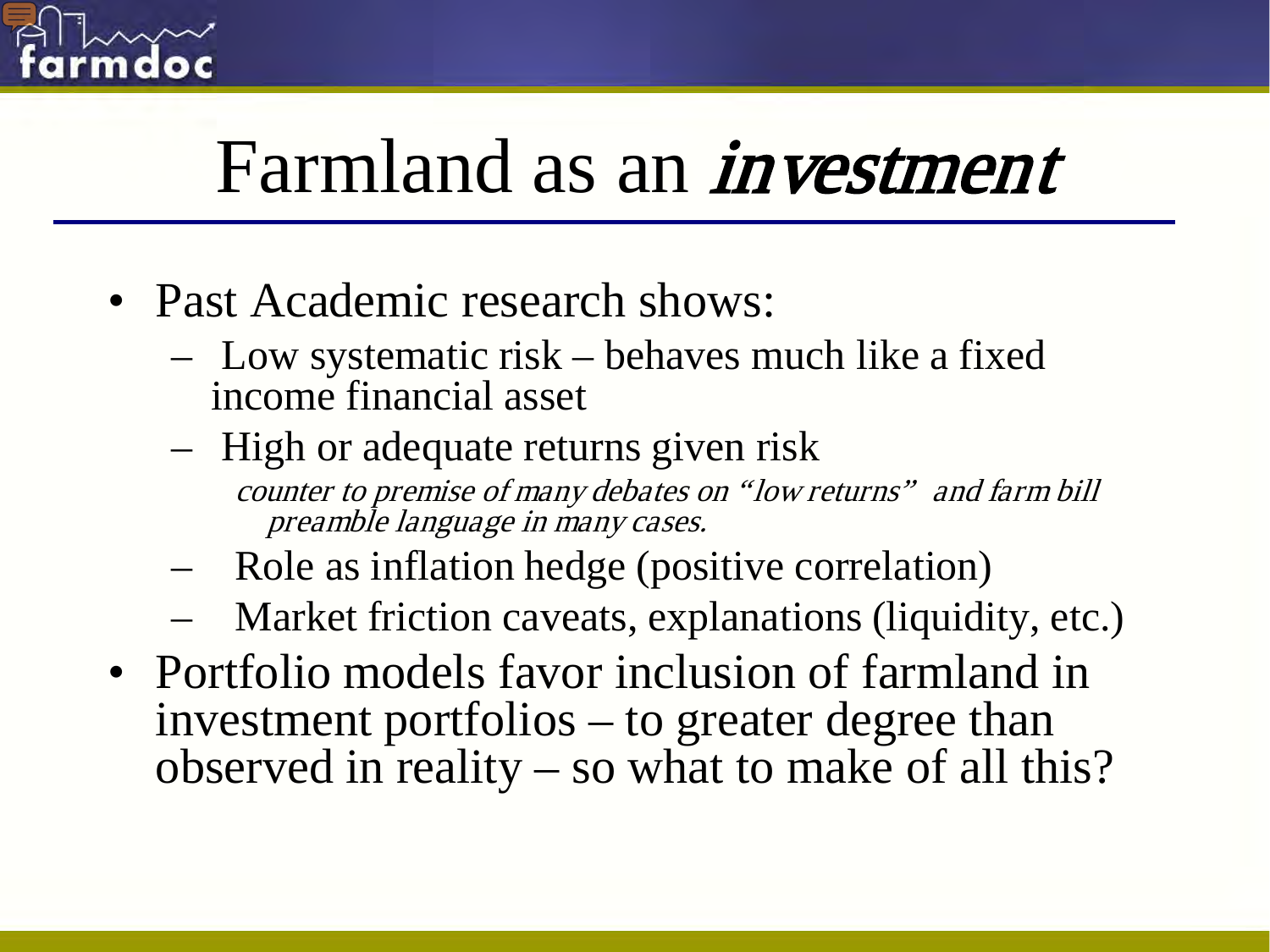

# Farmland as an *investment*

- Past Academic research shows:
	- Low systematic risk behaves much like a fixed income financial asset
	- High or adequate returns given risk counter to premise of many debates on "low returns" and farm bill preamble language in many cases.
	- Role as inflation hedge (positive correlation)
	- Market friction caveats, explanations (liquidity, etc.)
- Portfolio models favor inclusion of farmland in investment portfolios – to greater degree than observed in reality – so what to make of all this?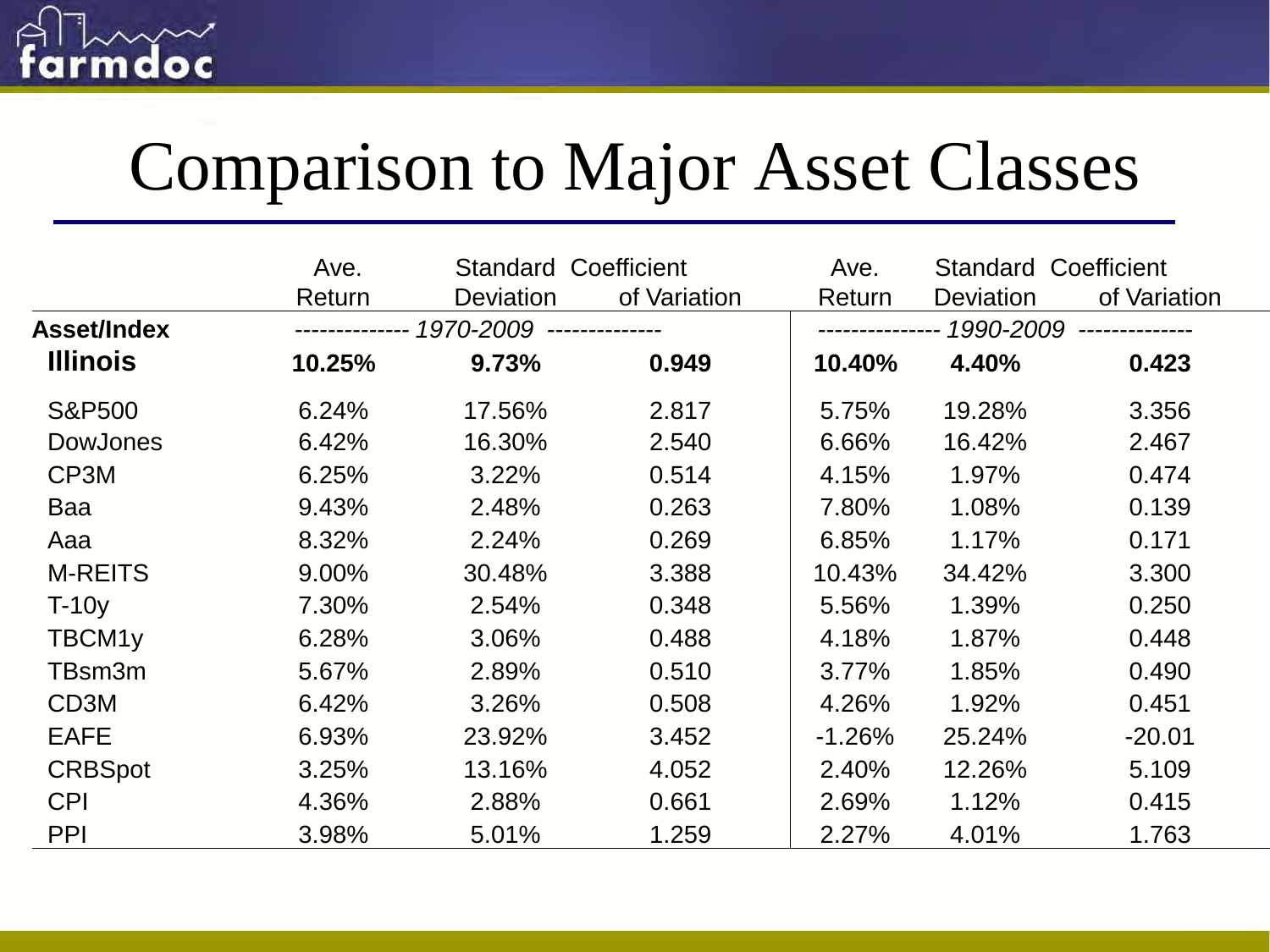

### Comparison to Major Asset Classes

|                   | Ave.                                   | <b>Standard Coefficient</b> |              | Ave.      | <b>Standard Coefficient</b> |              |
|-------------------|----------------------------------------|-----------------------------|--------------|-----------|-----------------------------|--------------|
|                   | Return                                 | <b>Deviation</b>            | of Variation | Return    | <b>Deviation</b>            | of Variation |
| Asset/Index       | ------------- 1970-2009 -------------- |                             |              | 1990-2009 |                             |              |
| <b>Illinois</b>   | 10.25%                                 | 9.73%                       | 0.949        | 10.40%    | 4.40%                       | 0.423        |
| <b>S&amp;P500</b> | 6.24%                                  | 17.56%                      | 2.817        | 5.75%     | 19.28%                      | 3.356        |
| <b>DowJones</b>   | 6.42%                                  | 16.30%                      | 2.540        | 6.66%     | 16.42%                      | 2.467        |
| CP3M              | 6.25%                                  | 3.22%                       | 0.514        | 4.15%     | 1.97%                       | 0.474        |
| Baa               | 9.43%                                  | 2.48%                       | 0.263        | 7.80%     | 1.08%                       | 0.139        |
| Aaa               | 8.32%                                  | 2.24%                       | 0.269        | 6.85%     | 1.17%                       | 0.171        |
| <b>M-REITS</b>    | 9.00%                                  | 30.48%                      | 3.388        | 10.43%    | 34.42%                      | 3.300        |
| $T-10y$           | 7.30%                                  | 2.54%                       | 0.348        | 5.56%     | 1.39%                       | 0.250        |
| TBCM1y            | 6.28%                                  | 3.06%                       | 0.488        | 4.18%     | 1.87%                       | 0.448        |
| TBsm3m            | 5.67%                                  | 2.89%                       | 0.510        | 3.77%     | 1.85%                       | 0.490        |
| CD <sub>3</sub> M | 6.42%                                  | 3.26%                       | 0.508        | 4.26%     | 1.92%                       | 0.451        |
| <b>EAFE</b>       | 6.93%                                  | 23.92%                      | 3.452        | $-1.26%$  | 25.24%                      | $-20.01$     |
| <b>CRBSpot</b>    | 3.25%                                  | 13.16%                      | 4.052        | 2.40%     | 12.26%                      | 5.109        |
| <b>CPI</b>        | 4.36%                                  | 2.88%                       | 0.661        | 2.69%     | 1.12%                       | 0.415        |
| PPI               | 3.98%                                  | 5.01%                       | 1.259        | 2.27%     | 4.01%                       | 1.763        |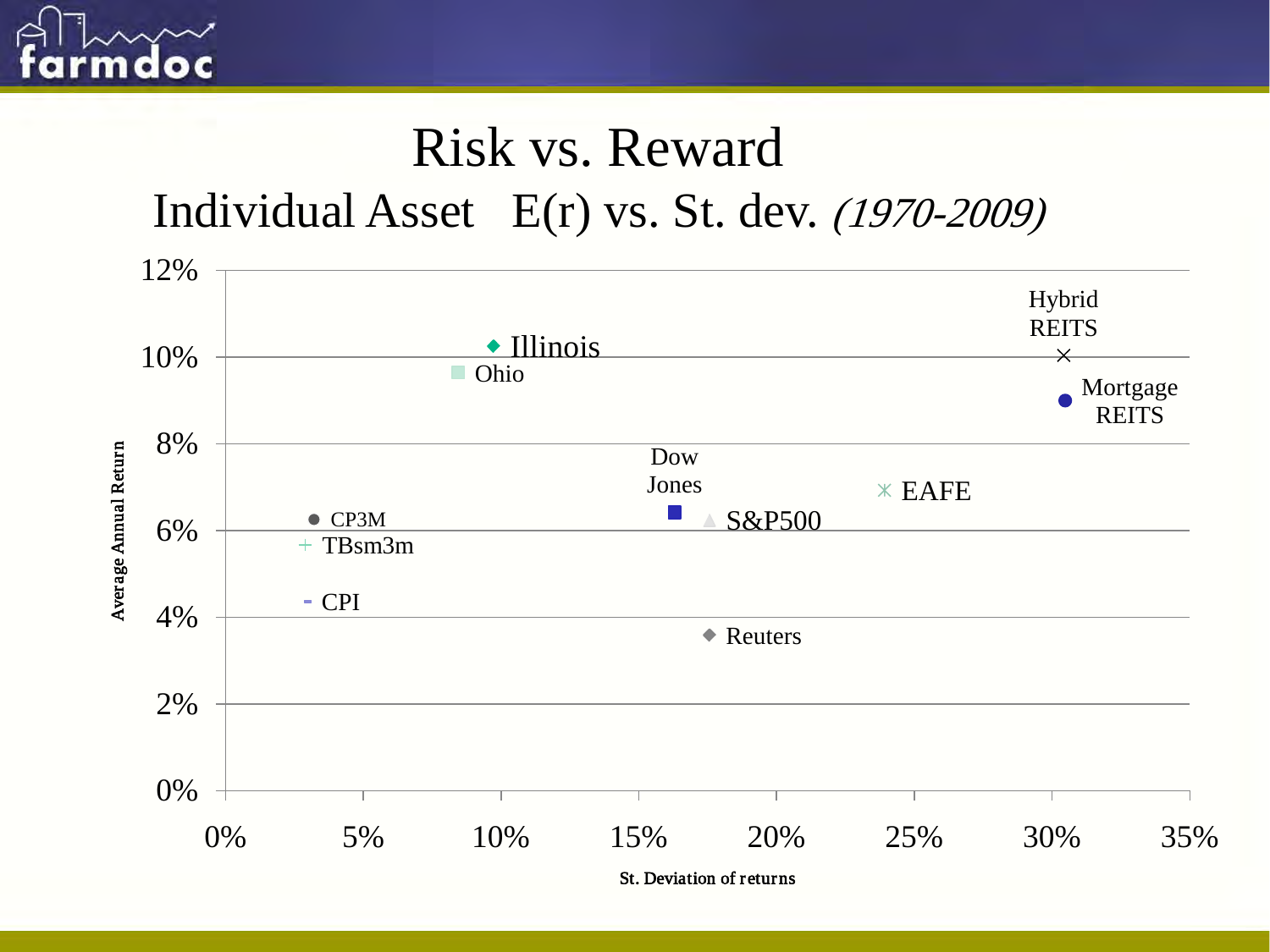

#### Risk vs. Reward

Individual Asset E(r) vs. St. dev. (1970-2009)



St. Deviation of returns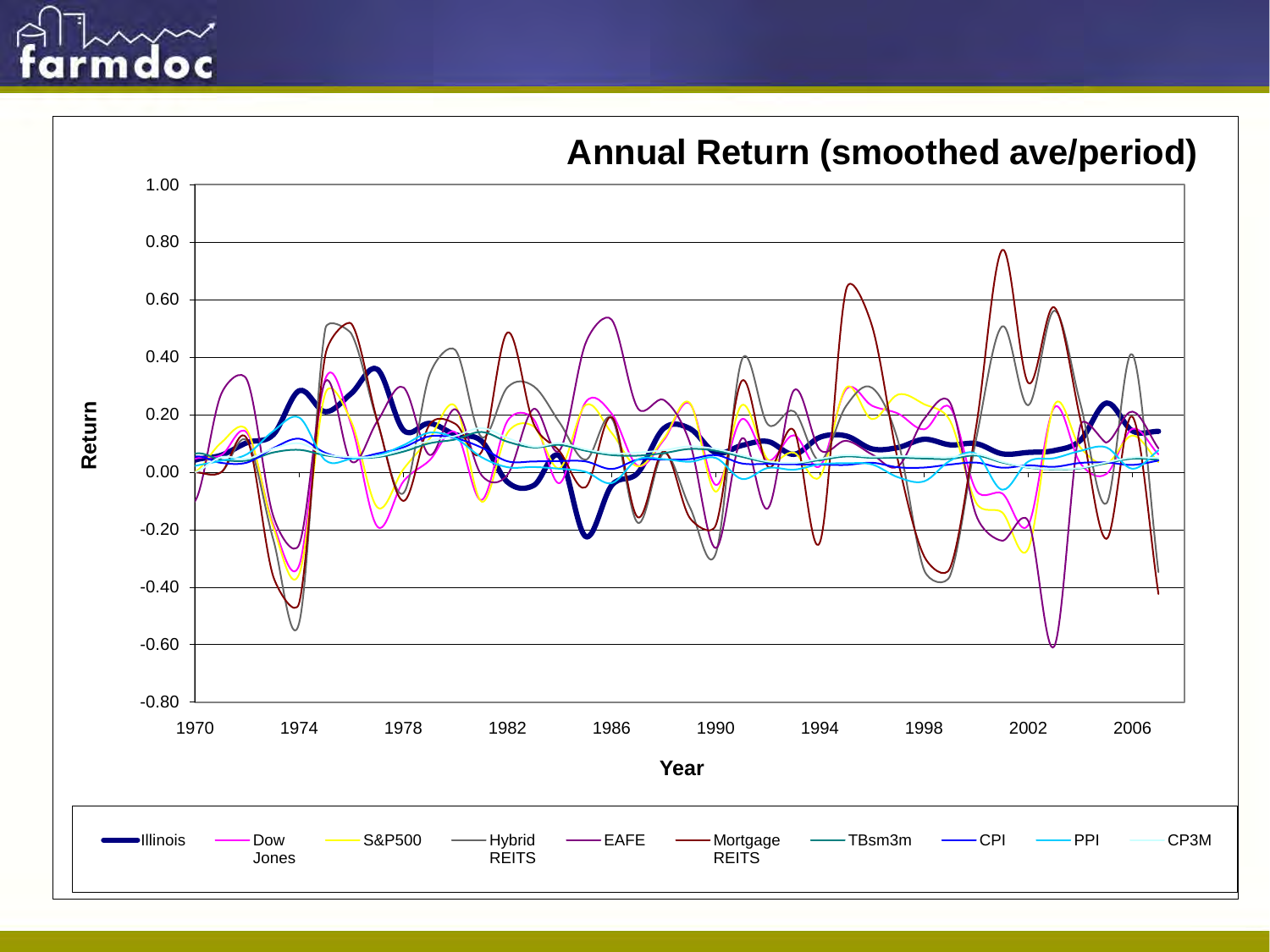

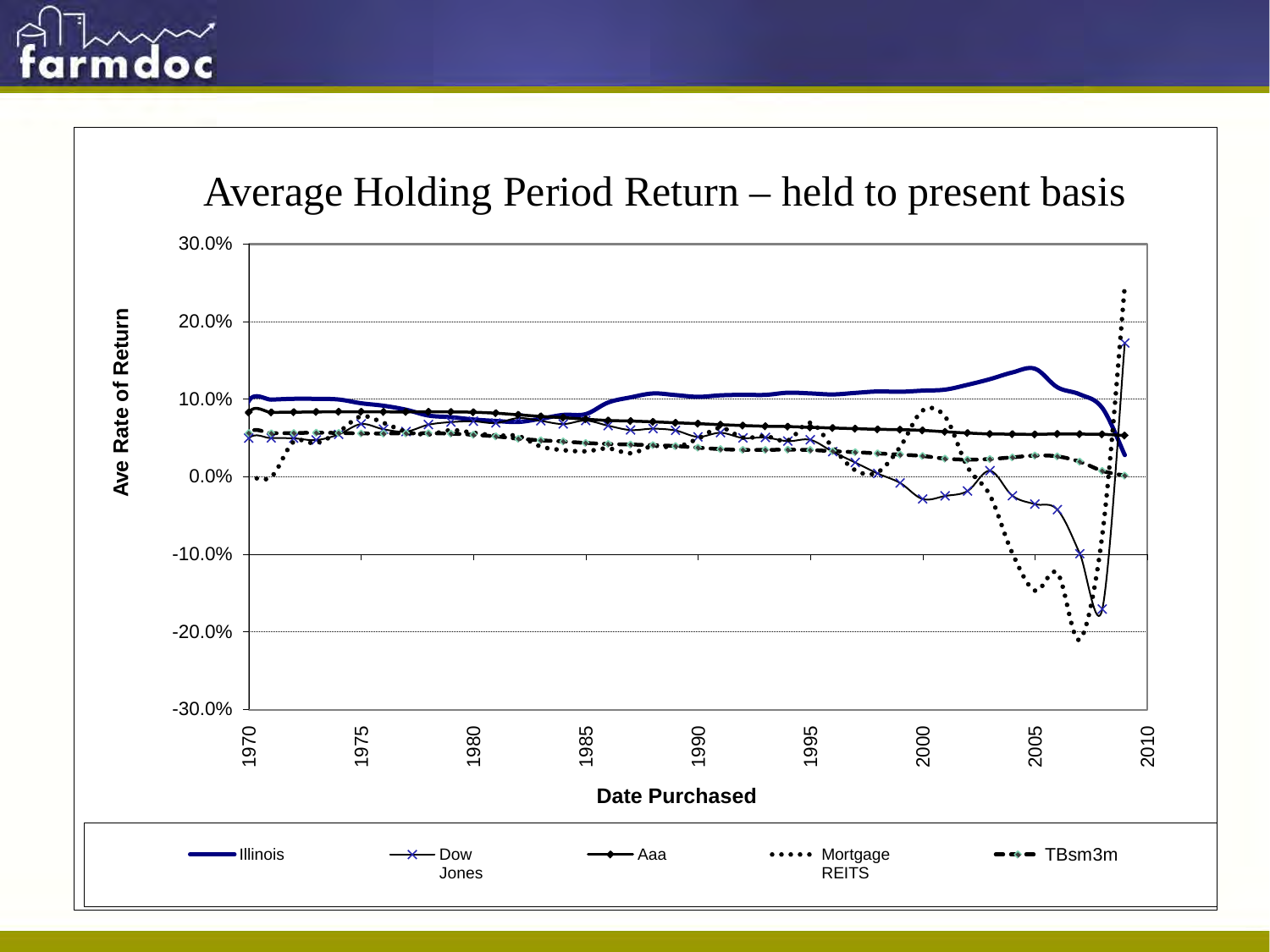# o

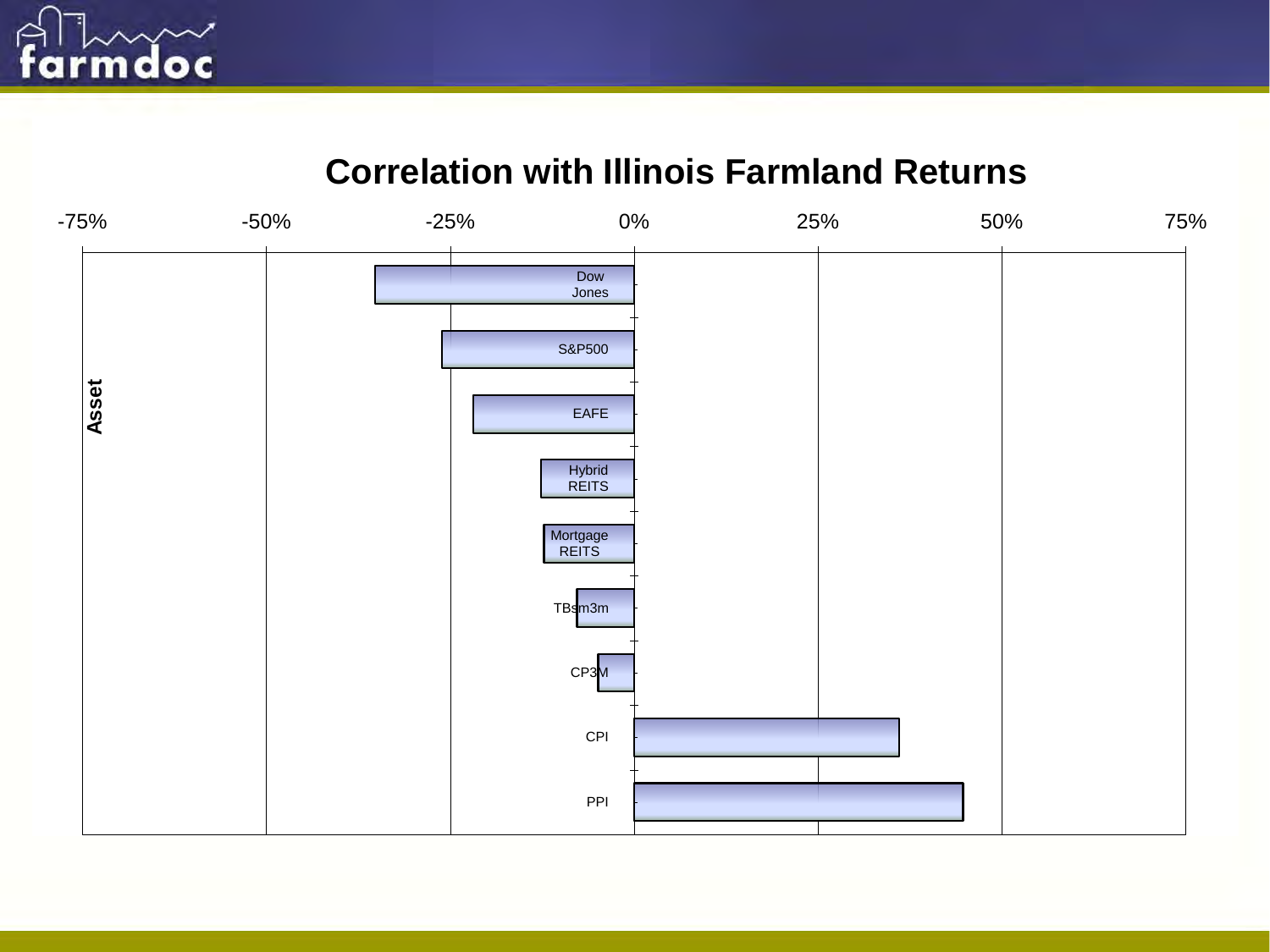

#### **Correlation with Illinois Farmland Returns**

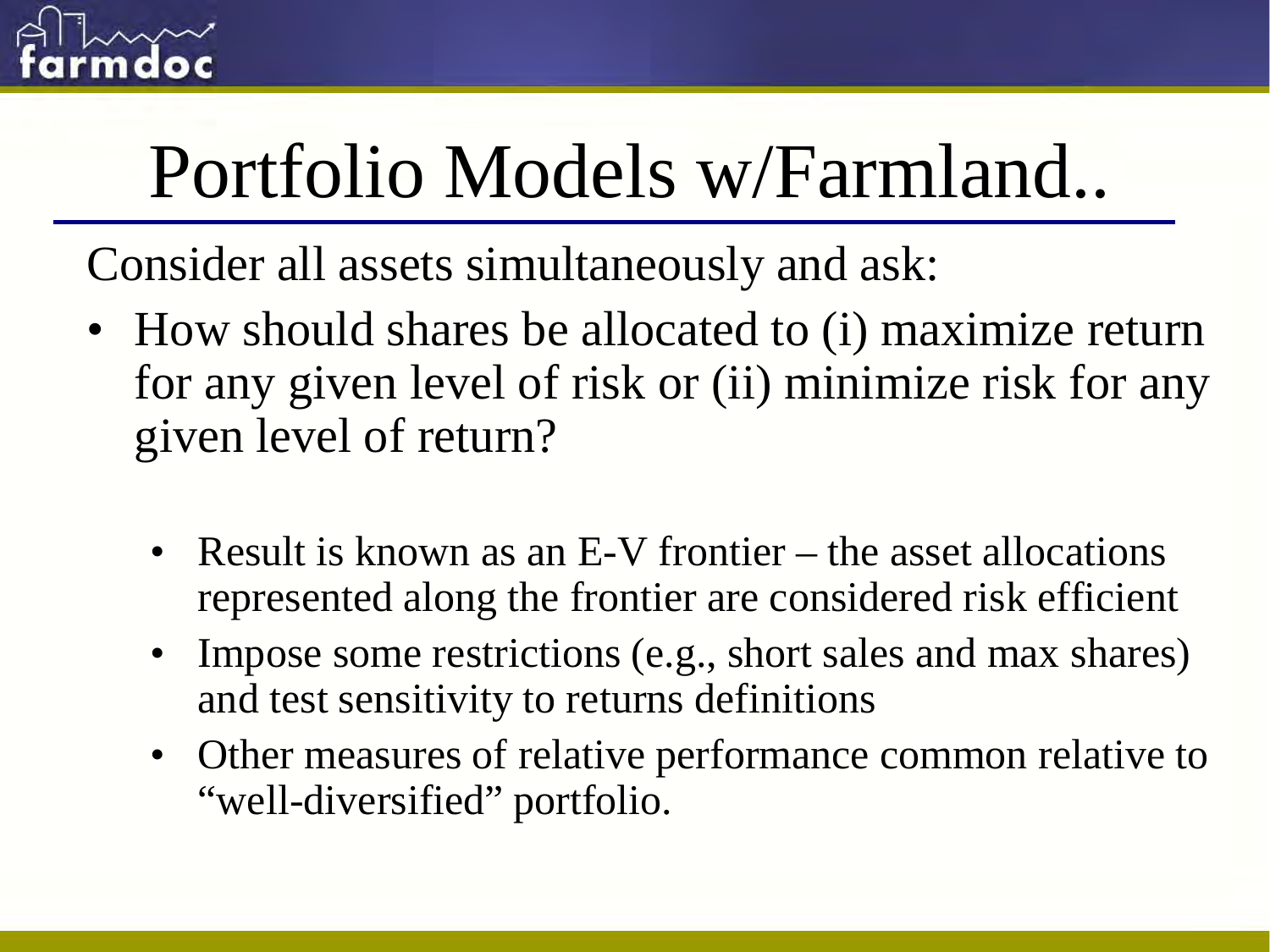

# Portfolio Models w/Farmland..

Consider all assets simultaneously and ask:

- How should shares be allocated to (i) maximize return for any given level of risk or (ii) minimize risk for any given level of return?
	- Result is known as an E-V frontier the asset allocations represented along the frontier are considered risk efficient
	- Impose some restrictions (e.g., short sales and max shares) and test sensitivity to returns definitions
	- Other measures of relative performance common relative to "well-diversified" portfolio.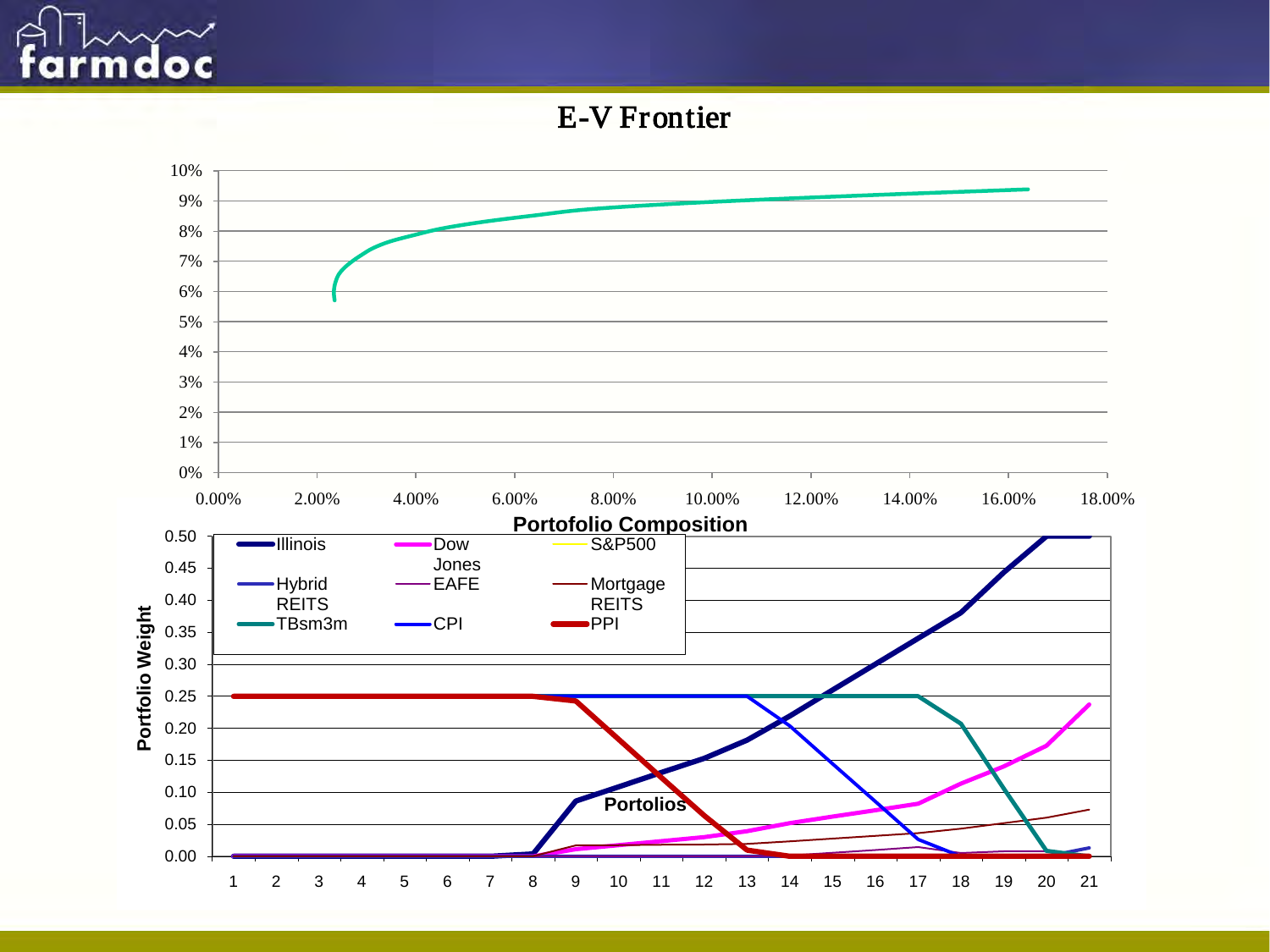

E-V Frontier

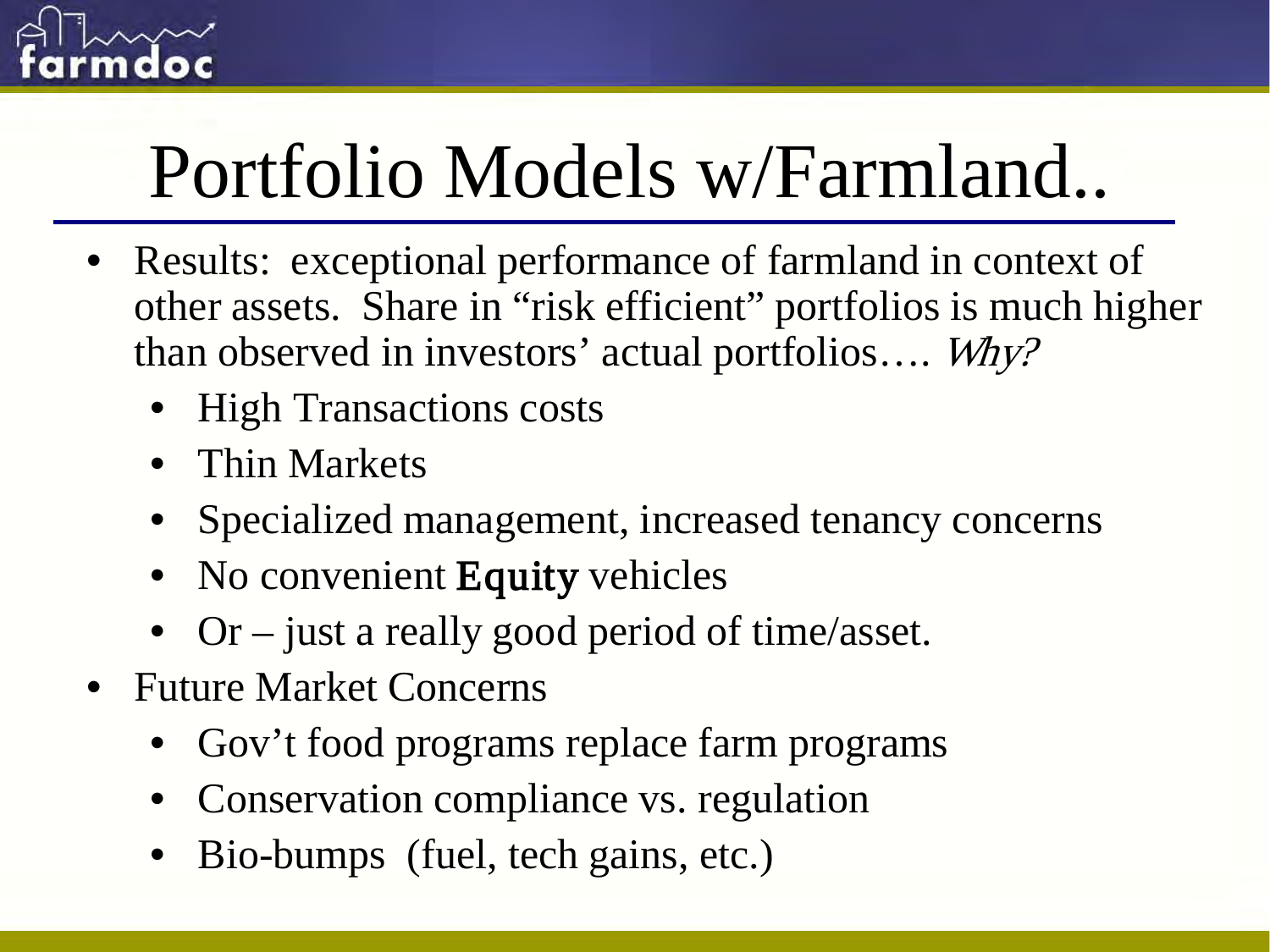

# Portfolio Models w/Farmland..

- Results: exceptional performance of farmland in context of other assets. Share in "risk efficient" portfolios is much higher than observed in investors' actual portfolios…. Why?
	- High Transactions costs
	- Thin Markets
	- Specialized management, increased tenancy concerns
	- No convenient Equity vehicles
	- Or just a really good period of time/asset.
- Future Market Concerns
	- Gov't food programs replace farm programs
	- Conservation compliance vs. regulation
	- Bio-bumps (fuel, tech gains, etc.)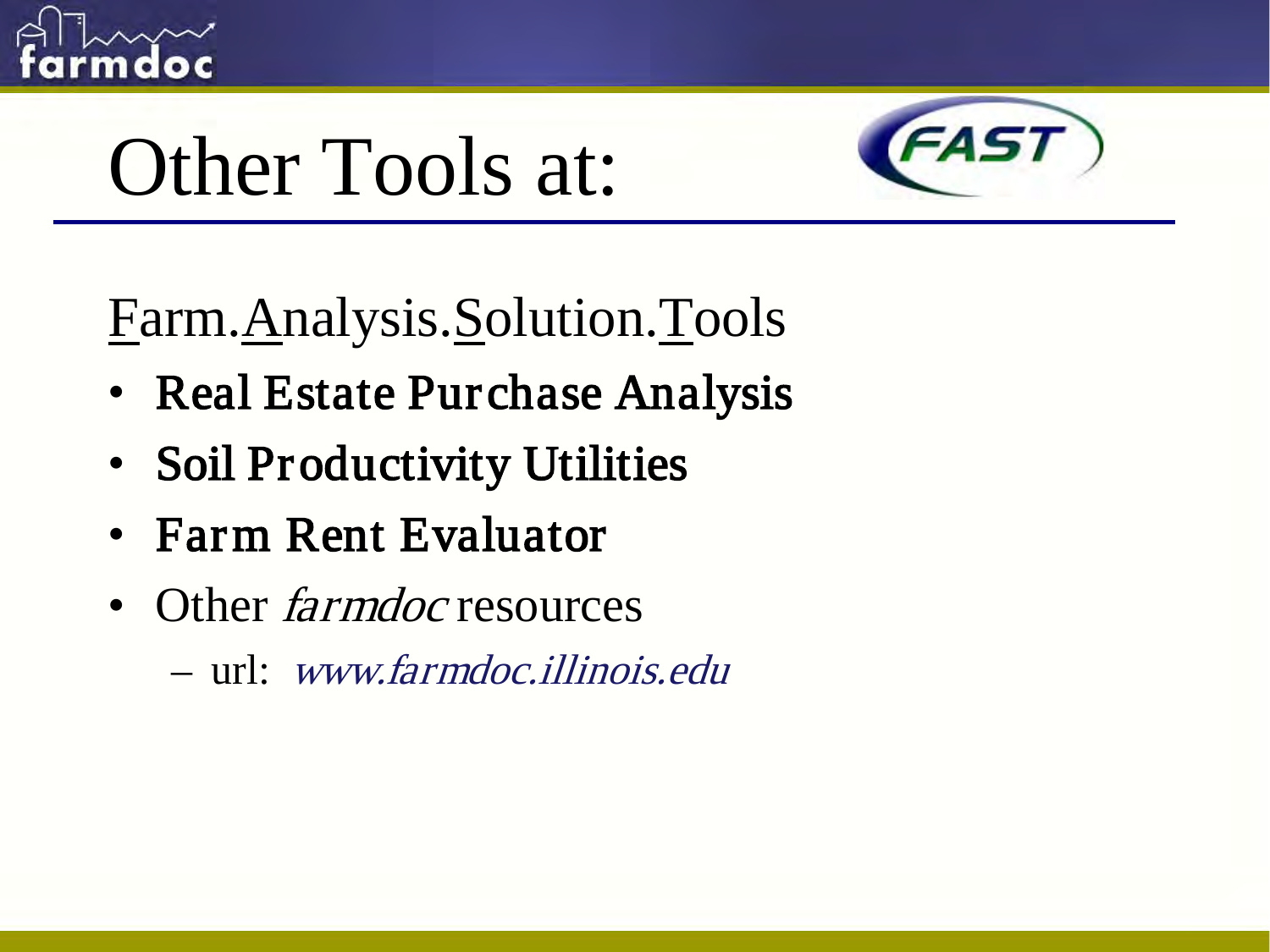

# Other Tools at:



Farm.Analysis.Solution.Tools

- Real Estate Purchase Analysis
- Soil Productivity Utilities
- Farm Rent Evaluator
- Other *farmdoc* resources
	- url: www.farmdoc.illinois.edu